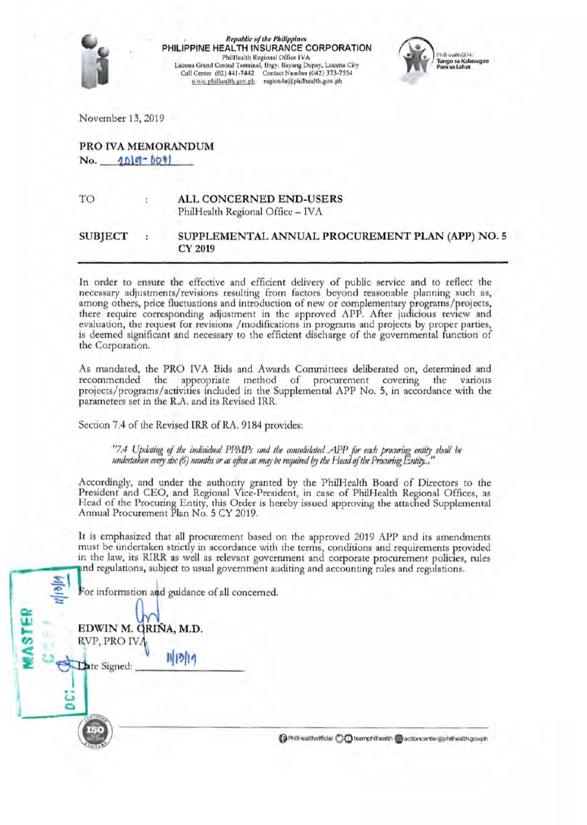

**Republic of the Philippines** PHILIPPINE HEALTH INSURANCE CORPORATION Phillicalth Regional Office IVA Lucena Grand Central Terminal, Brgy. Ilayang Dupay, Lucena City Call Center (02) 441-7442 Contact Number (042) 373-7554 www.philhealth.gov.ph region4a@philhealth.gov.ph



November 13, 2019

## PRO IVA MEMORANDUM  $No. 1019 - 601$

TO ALL CONCERNED END-USERS PhilHealth Regional Office - IVA

#### **SUBJECT** SUPPLEMENTAL ANNUAL PROCUREMENT PLAN (APP) NO. 5 CY 2019

In order to ensure the effective and efficient delivery of public service and to reflect the necessary adjustments/revisions resulting from factors beyond reasonable planning such as, among others, price fluctuations and introduction of new or complementary programs/projects, there require corresponding adjustment in the approved APP. After judicious review and evaluation, the request for revisions /modifications in programs and projects by proper parties, is deemed significant and necessary to the efficient discharge of the governmental function of the Corporation.

As mandated, the PRO IVA Bids and Awards Committees deliberated on, determined and recommended the appropriate method of procurement covering the various projects/programs/activities included in the Supplemental APP No. 5, in accordance with the parameters set in the R.A. and its Revised IRR.

Section 7.4 of the Revised IRR of RA. 9184 provides:

"7.4 Updating of the individual PPMPs and the consolidated APP for each procuring entity shall be undertaken every six  $(6)$  months or as often as may be required by the Head of the Procuring Entity...

Accordingly, and under the authority granted by the PhilHealth Board of Directors to the President and CEO, and Regional Vice-President, in case of PhilHealth Regional Offices, as Head of the Procuring Entity, this Order is hereby issued approving the attached Supplemental Annual Procurement Plan No. 5 CY 2019.

It is emphasized that all procurement based on the approved 2019 APP and its amendments must be undertaken strictly in accordance with the terms, conditions and requirements provided in the law, its RIRR as well as relevant government and corporate procurement policies, rules and regulations, subject to usual government auditing and accounting rules and regulations.

For information and guidance of all concerned.

川内内

EDWIN M. QRINA, M.D.

RVP, PRO IV/

Date Signed:

PhilHealthofficial C C teamphilhealth @ actioncenter@philhealth.gov.ph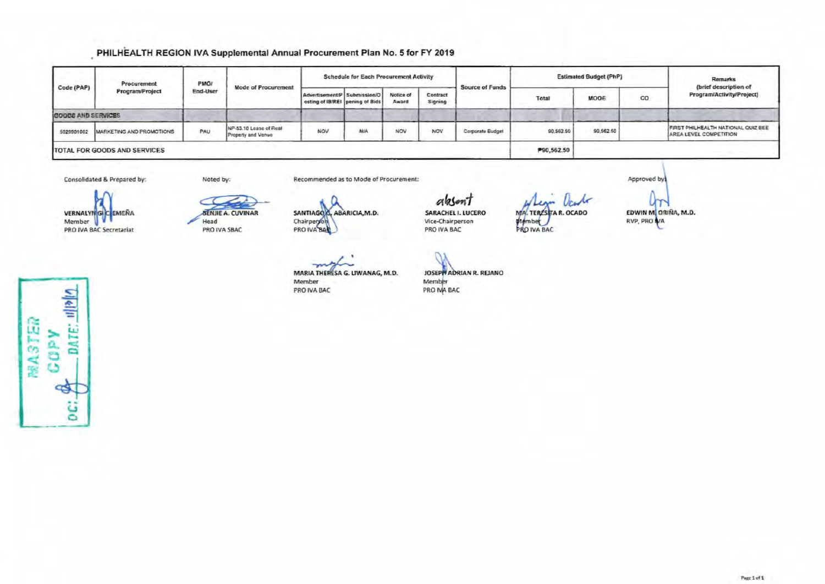# PHILHEALTH REGION IVA Supplemental Annual Procurement Plan No. 5 for FY 2019

| Code (PAP)         | Procurement<br>Program/Project      | PMO/<br><b>End-User</b> | <b>Mode of Procurement</b>                   | <b>Schedule for Each Procurement Activity</b>                   |            |                    |                     |                        |            | <b>Estimated Budget (PhP)</b> | Remarks |                                                              |
|--------------------|-------------------------------------|-------------------------|----------------------------------------------|-----------------------------------------------------------------|------------|--------------------|---------------------|------------------------|------------|-------------------------------|---------|--------------------------------------------------------------|
|                    |                                     |                         |                                              | Advertisement/P Submission/O<br>osting of IB/REI pening of Bids |            | Notice of<br>Award | Contract<br>Signing | <b>Source of Funds</b> | Total      | MOOE                          | co      | (brief description of<br>Program/Activity/Project)           |
| GOODS AND SERVICES |                                     |                         |                                              |                                                                 |            |                    |                     |                        |            |                               |         |                                                              |
| 5029901002         | <b>MARKETING AND PROMOTIONS</b>     | PAU                     | NP-53.10 Lease of Real<br>Property and Venue | NOV                                                             | <b>N/A</b> | <b>NOV</b>         | NOV                 | Corporate Budget       | 90,562.50  | 90,562.50                     |         | FIRST PHILHEALTH NATIONAL QUIZ BEE<br>AREA LEVEL COMPETITION |
|                    | <b>TOTAL FOR GOODS AND SERVICES</b> |                         |                                              |                                                                 |            |                    |                     |                        | P90,562.50 |                               |         |                                                              |

Consolidated & Prepared by:

Noted by:

Head

**VERNALYNGIC EMEÑA** Member V PRO IVA BAC Secretariat



PRO IVA SBAC

SANTIAGO G, ABARICIA, M.D. Chairperon PRO IVA BAL

MARIA THERESA G. LIWANAG, M.D.

 $-1$ 

Member

PRO IVA BAC

Recommended as to Mode of Procurement:

absont SARACHEL I. LUCERO Vice-Chairperson PRO IVA BAC

who MA. TERESTA R. OCADO Member

Um EDWIN M. ORIÑA, M.D. RVP, PRO VA

Approved by

рате: пры **MASTER** COPY 45 g

JOSEPH ADRIAN R. REJANO Member<br>PRO NA BAC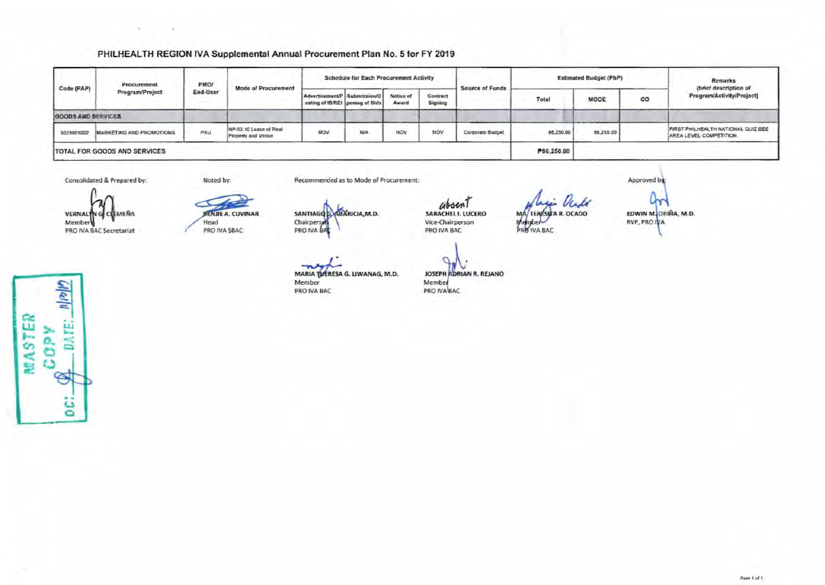#### PHILHEALTH REGION IVA Supplemental Annual Procurement Plan No. 5 for FY 2019

| Code (PAP)         | Procurement<br>Program/Project      | PMO/<br>End-User | <b>Mode of Procurement</b>                   | <b>Schedule for Each Procurement Activity</b>                   |     |                    |                     |                        |            | <b>Estimated Budget (PhP)</b> | <b>Remarks</b> |                                                              |
|--------------------|-------------------------------------|------------------|----------------------------------------------|-----------------------------------------------------------------|-----|--------------------|---------------------|------------------------|------------|-------------------------------|----------------|--------------------------------------------------------------|
|                    |                                     |                  |                                              | Advertisement/P Submission/O<br>osting of IB/REI pening of Bids |     | Notice of<br>Award | Contract<br>Signing | <b>Source of Funds</b> | Total      | MODE                          | co             | (brief description of<br>Program/Activity/Project)           |
| GOODS AND SERVICES |                                     |                  |                                              |                                                                 |     |                    |                     |                        |            |                               |                |                                                              |
| 5029901002         | MARKETING AND PROMOTIONS            | PAU              | NP-53 10 Lease of Real<br>Property and Venue | NOV                                                             | N/A | <b>NOV</b>         | NOV                 | Corporate Budget       | 86,250.00  | 86,250.00                     |                | FIRST PHILHEALTH NATIONAL QUIZ BEE<br>AREA LEVEL COMPETITION |
|                    | <b>TOTAL FOR GOODS AND SERVICES</b> |                  |                                              |                                                                 |     |                    |                     |                        | P86,250.00 |                               |                |                                                              |

Consolidated & Prepared by:

Noted by:

Recommended as to Mode of Procurement:

VERNALY **CEMEÑA** Membery PRO IVA BAC Secretariat

**BENJIE A. CUVINAR** Head

PRO IVA SBAC

SANTIAGO SABARICIA, M.D. Chairperson

absent SARACHEL I. LUCERO Vice-Chairperson PRO IVA BAC

MARIA TUERESA G. LIWANAG, M.D. Member PRO IVA BAC

JOSEPH ADRIAN R. REJANO Member PRO IVA BAC

O

MA/TERESUTA R. OCADO

Member

Y EDWIN M. ORIÑA, M.D. RVP, PRO IVA

Approved by

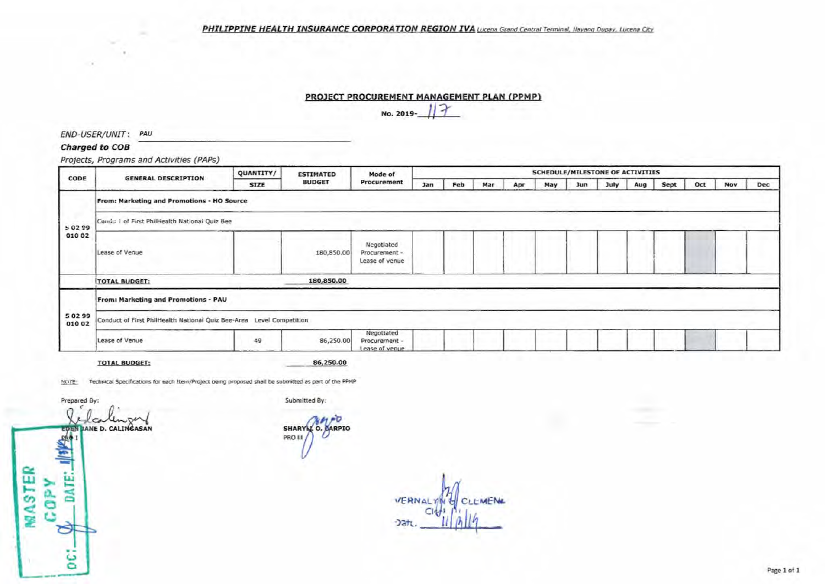#### PHILIPPINE HEALTH INSURANCE CORPORATION REGION IVA Lucena Grand Central Terminal, Ilayang Dupay, Lucena City

#### PROJECT PROCUREMENT MANAGEMENT PLAN (PPMP)

 $\mathcal{F}$ No. 2019-

END-USER/UNIT: PAU

### Charged to COB

Projects, Programs and Activities (PAPs)

|                     | <b>SCHEDULE/MILESTONE OF ACTIVITIES</b><br>QUANTITY/<br><b>ESTIMATED</b><br>Mode of<br><b>GENERAL DESCRIPTION</b> |             |               |                                               |     |     |     |     |     |            |      |     |      |     |            |     |
|---------------------|-------------------------------------------------------------------------------------------------------------------|-------------|---------------|-----------------------------------------------|-----|-----|-----|-----|-----|------------|------|-----|------|-----|------------|-----|
| CODE                |                                                                                                                   | <b>SIZE</b> | <b>BUDGET</b> | Procurement                                   | Jan | Feb | Mar | Apr | May | <b>Jun</b> | July | Aug | Sept | Oct | <b>Nov</b> | Dec |
|                     | From: Marketing and Promotions - HO Source                                                                        |             |               |                                               |     |     |     |     |     |            |      |     |      |     |            |     |
| 502S9               | Condu I of First Philliealth National Quiz Bee                                                                    |             |               |                                               |     |     |     |     |     |            |      |     |      |     |            |     |
| 010 02              | Lease of Venue                                                                                                    |             | 180,850.00    | Negotiated<br>Procurement -<br>Lease of venue |     |     |     |     |     |            |      |     |      |     |            |     |
|                     | <b>TOTAL BUDGET:</b>                                                                                              |             | 180,850.00    |                                               |     |     |     |     |     |            |      |     |      |     |            |     |
|                     | From: Marketing and Promotions - PAU                                                                              |             |               |                                               |     |     |     |     |     |            |      |     |      |     |            |     |
| 5 0 2 9 9<br>010 02 | Conduct of First PhilHealth National Quiz Bee-Area Level Competition                                              |             |               |                                               |     |     |     |     |     |            |      |     |      |     |            |     |
|                     | Lease of Venue                                                                                                    | 49          | 86,250.00     | Negotiated<br>Procurement -<br>Lease of venue |     |     |     |     |     |            |      |     |      |     |            |     |

**TOTAL BUDGET:** 

86,250.00

NOTE: Technical Specifications for each Item/Project being proposed shall be submitted as part of the PPMP

Prepared By:

DATE:

 $\Rightarrow$ 

ë

**MASTER** 

**AdD2** 

 $\Omega$ Unper ca **JANE D. CALINGASAN EUR** 115Kg

Submitted By:

 $MPO$ SHARY C. CARPIO PRO III

VEP Datt.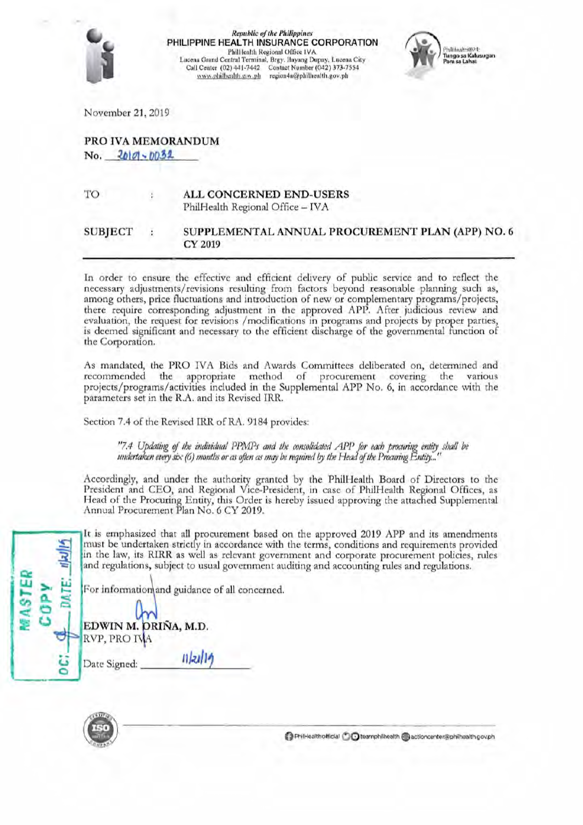

**Republic of the Philippines** PHILIPPINE HEALTH INSURANCE CORPORATION Philliealth Regional Office IVA Lucena Grand Central Terminal, Brgy. Huyang Dupay, Lucena City<br>Call Center (02) 441-7442 Contact Number (042) 373-7554 www.philbealth.gov.ph region4a@philbealth.gov.ph



November 21, 2019

# PRO IVA MEMORANDUM No. 2010-0032

TO

# ALL CONCERNED END-USERS

PhilHealth Regional Office - IVA

#### **SUBIECT** SUPPLEMENTAL ANNUAL PROCUREMENT PLAN (APP) NO. 6 ł **CY 2019**

In order to ensure the effective and efficient delivery of public service and to reflect the necessary adjustments/revisions resulting from factors beyond reasonable planning such as, among others, price fluctuations and introduction of new or complementary programs/projects, there require corresponding adjustment in the approved APP. After judicious review and evaluation, the request for revisions /modifications in programs and projects by proper parties, is deemed significant and necessary to the efficient discharge of the governmental function of the Corporation.

As mandated, the PRO IVA Bids and Awards Committees deliberated on, determined and recommended the appropriate method of procurement covering the various projects/programs/activities included in the Supplemental APP No. 6, in accordance with the parameters set in the R.A. and its Revised IRR.

Section 7.4 of the Revised IRR of RA. 9184 provides:

"7.4 Updating of the individual PPMPs and the consolidated APP for each procuring entity shall be undertaken every six (6) months or as often as may be required by the Head of the Procuring Entity...

Accordingly, and under the authority granted by the PhilHealth Board of Directors to the President and CEO, and Regional Vice-President, in case of PhilHealth Regional Offices, as<br>Head of the Procuring Entity, this Order is hereby issued approving the attached Supplemental Annual Procurement Plan No. 6 CY 2019.

It is emphasized that all procurement based on the approved 2019 APP and its amendments must be undertaken strictly in accordance with the terms, conditions and requirements provided in the law, its RIRR as well as relevant government and corporate procurement policies, rules and regulations, subject to usual government auditing and accounting rules and regulations.

For information and guidance of all concerned.

 $11 |z| 19$ 

|              | <b>LAY V</b>         |
|--------------|----------------------|
|              | EDWIN M. DRIÑA, M.D. |
| RVP, PRO IVA |                      |

Date Signed:



PhilHealthofficial **O C** teamphilhealth actioncenter@philhealth.gov.ph